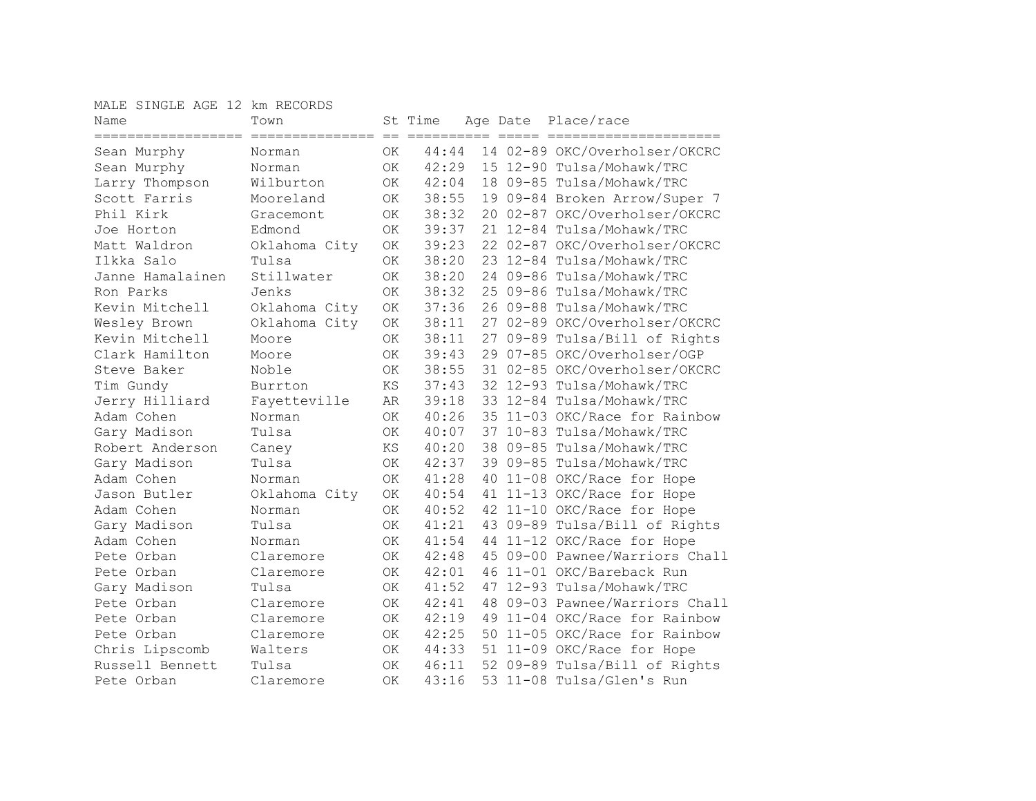MALE SINGLE AGE 12 km RECORDS

| Name<br>================== | Town<br>================ | $=$       | St Time<br>========== |    | Age Date | Place/race<br>eeeee eeeeeee    |
|----------------------------|--------------------------|-----------|-----------------------|----|----------|--------------------------------|
| Sean Murphy                | Norman                   | 0K        | 44:44                 |    |          | 14 02-89 OKC/Overholser/OKCRC  |
| Sean Murphy                | Norman                   | <b>OK</b> | 42:29                 |    |          | 15 12-90 Tulsa/Mohawk/TRC      |
| Larry Thompson             | Wilburton                | <b>OK</b> | 42:04                 |    |          | 18 09-85 Tulsa/Mohawk/TRC      |
| Scott Farris               | Mooreland                | ОK        | 38:55                 |    |          | 19 09-84 Broken Arrow/Super 7  |
| Phil Kirk                  | Gracemont                | OK        | 38:32                 |    |          | 20 02-87 OKC/Overholser/OKCRC  |
| Joe Horton                 | Edmond                   | 0K        | 39:37                 |    |          | 21 12-84 Tulsa/Mohawk/TRC      |
| Matt Waldron               | Oklahoma City            | <b>OK</b> | 39:23                 |    |          | 22 02-87 OKC/Overholser/OKCRC  |
| Ilkka Salo                 | Tulsa                    | 0K        | 38:20                 |    |          | 23 12-84 Tulsa/Mohawk/TRC      |
| Janne Hamalainen           | Stillwater               | <b>OK</b> | 38:20                 |    |          | 24 09-86 Tulsa/Mohawk/TRC      |
| Ron Parks                  | Jenks                    | <b>OK</b> | 38:32                 |    |          | 25 09-86 Tulsa/Mohawk/TRC      |
| Kevin Mitchell             | Oklahoma City            | <b>OK</b> | 37:36                 |    |          | 26 09-88 Tulsa/Mohawk/TRC      |
| Wesley Brown               | Oklahoma City            | OK        | 38:11                 |    |          | 27 02-89 OKC/Overholser/OKCRC  |
| Kevin Mitchell             | Moore                    | <b>OK</b> | 38:11                 |    |          | 27 09-89 Tulsa/Bill of Rights  |
| Clark Hamilton             | Moore                    | <b>OK</b> | 39:43                 |    |          | 29 07-85 OKC/Overholser/OGP    |
| Steve Baker                | Noble                    | ΟK        | 38:55                 |    |          | 31 02-85 OKC/Overholser/OKCRC  |
| Tim Gundy                  | Burrton                  | ΚS        | 37:43                 |    |          | 32 12-93 Tulsa/Mohawk/TRC      |
| Jerry Hilliard             | Fayetteville             | AR        | 39:18                 |    |          | 33 12-84 Tulsa/Mohawk/TRC      |
| Adam Cohen                 | Norman                   | <b>OK</b> | 40:26                 |    |          | 35 11-03 OKC/Race for Rainbow  |
| Gary Madison               | Tulsa                    | <b>OK</b> | 40:07                 |    |          | 37 10-83 Tulsa/Mohawk/TRC      |
| Robert Anderson            | Caney                    | <b>KS</b> | 40:20                 |    |          | 38 09-85 Tulsa/Mohawk/TRC      |
| Gary Madison               | Tulsa                    | <b>OK</b> | 42:37                 |    |          | 39 09-85 Tulsa/Mohawk/TRC      |
| Adam Cohen                 | Norman                   | <b>OK</b> | 41:28                 |    |          | 40 11-08 OKC/Race for Hope     |
| Jason Butler               | Oklahoma City            | <b>OK</b> | 40:54                 |    |          | 41 11-13 OKC/Race for Hope     |
| Adam Cohen                 | Norman                   | <b>OK</b> | 40:52                 |    |          | 42 11-10 OKC/Race for Hope     |
| Gary Madison               | Tulsa                    | <b>OK</b> | 41:21                 |    |          | 43 09-89 Tulsa/Bill of Rights  |
| Adam Cohen                 | Norman                   | <b>OK</b> | 41:54                 |    |          | 44 11-12 OKC/Race for Hope     |
| Pete Orban                 | Claremore                | 0K        | 42:48                 |    |          | 45 09-00 Pawnee/Warriors Chall |
| Pete Orban                 | Claremore                | OK        | 42:01                 |    |          | 46 11-01 OKC/Bareback Run      |
| Gary Madison               | Tulsa                    | OK.       | 41:52                 |    |          | 47 12-93 Tulsa/Mohawk/TRC      |
| Pete Orban                 | Claremore                | <b>OK</b> | 42:41                 | 48 |          | 09-03 Pawnee/Warriors Chall    |
| Pete Orban                 | Claremore                | OK        | 42:19                 |    |          | 49 11-04 OKC/Race for Rainbow  |
| Pete Orban                 | Claremore                | ΟK        | 42:25                 |    |          | 50 11-05 OKC/Race for Rainbow  |
| Chris Lipscomb             | Walters                  | ΟK        | 44:33                 |    |          | 51 11-09 OKC/Race for Hope     |
| Russell Bennett            | Tulsa                    | OK        | 46:11                 |    |          | 52 09-89 Tulsa/Bill of Rights  |
| Pete Orban                 | Claremore                | <b>OK</b> | 43:16                 |    |          | 53 11-08 Tulsa/Glen's Run      |